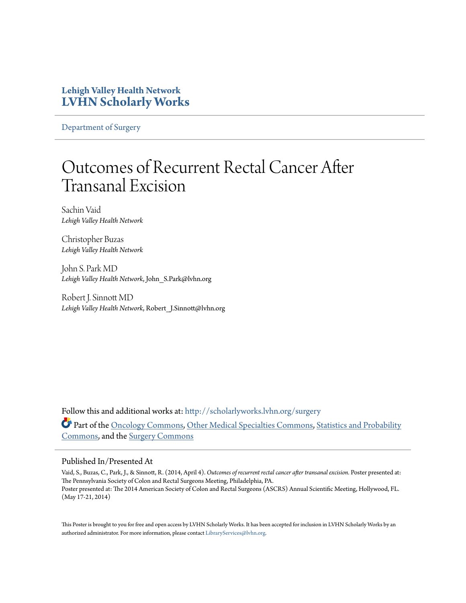#### **Lehigh Valley Health Network [LVHN Scholarly Works](http://scholarlyworks.lvhn.org?utm_source=scholarlyworks.lvhn.org%2Fsurgery%2F285&utm_medium=PDF&utm_campaign=PDFCoverPages)**

[Department of Surgery](http://scholarlyworks.lvhn.org/surgery?utm_source=scholarlyworks.lvhn.org%2Fsurgery%2F285&utm_medium=PDF&utm_campaign=PDFCoverPages)

#### Outcomes of Recurrent Rectal Cancer After Transanal Excision

Sachin Vaid *Lehigh Valley Health Network*

Christopher Buzas *Lehigh Valley Health Network*

John S. Park MD *Lehigh Valley Health Network*, John\_S.Park@lvhn.org

Robert J. Sinnott MD *Lehigh Valley Health Network*, Robert\_J.Sinnott@lvhn.org

Follow this and additional works at: [http://scholarlyworks.lvhn.org/surgery](http://scholarlyworks.lvhn.org/surgery?utm_source=scholarlyworks.lvhn.org%2Fsurgery%2F285&utm_medium=PDF&utm_campaign=PDFCoverPages) Part of the [Oncology Commons,](http://network.bepress.com/hgg/discipline/694?utm_source=scholarlyworks.lvhn.org%2Fsurgery%2F285&utm_medium=PDF&utm_campaign=PDFCoverPages) [Other Medical Specialties Commons](http://network.bepress.com/hgg/discipline/708?utm_source=scholarlyworks.lvhn.org%2Fsurgery%2F285&utm_medium=PDF&utm_campaign=PDFCoverPages), [Statistics and Probability](http://network.bepress.com/hgg/discipline/208?utm_source=scholarlyworks.lvhn.org%2Fsurgery%2F285&utm_medium=PDF&utm_campaign=PDFCoverPages) [Commons,](http://network.bepress.com/hgg/discipline/208?utm_source=scholarlyworks.lvhn.org%2Fsurgery%2F285&utm_medium=PDF&utm_campaign=PDFCoverPages) and the [Surgery Commons](http://network.bepress.com/hgg/discipline/706?utm_source=scholarlyworks.lvhn.org%2Fsurgery%2F285&utm_medium=PDF&utm_campaign=PDFCoverPages)

#### Published In/Presented At

Vaid, S., Buzas, C., Park, J., & Sinnott, R. (2014, April 4). *Outcomes of recurrent rectal cancer after transanal excision.* Poster presented at: The Pennsylvania Society of Colon and Rectal Surgeons Meeting, Philadelphia, PA. Poster presented at: The 2014 American Society of Colon and Rectal Surgeons (ASCRS) Annual Scientific Meeting, Hollywood, FL. (May 17-21, 2014)

This Poster is brought to you for free and open access by LVHN Scholarly Works. It has been accepted for inclusion in LVHN Scholarly Works by an authorized administrator. For more information, please contact [LibraryServices@lvhn.org.](mailto:LibraryServices@lvhn.org)